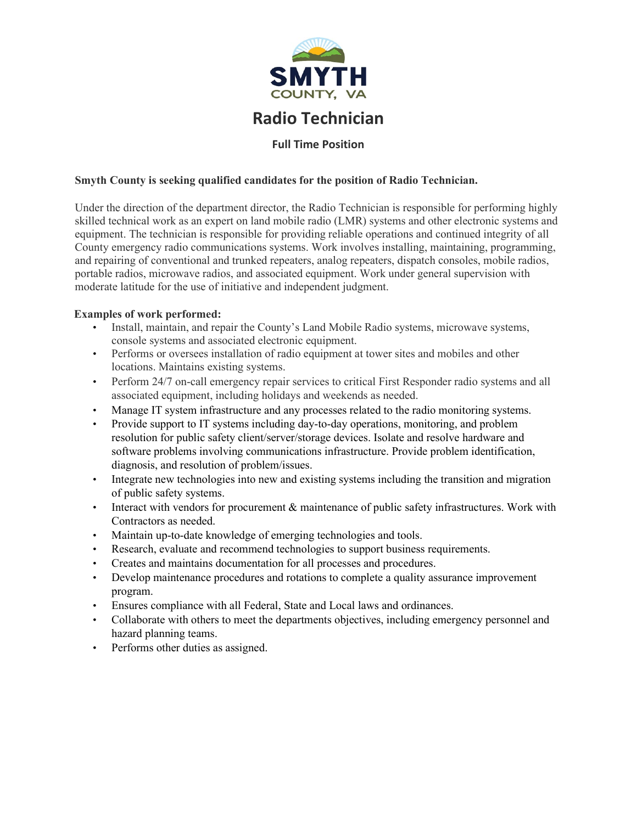

# **Radio Technician**

## **Full Time Position**

## **Smyth County is seeking qualified candidates for the position of Radio Technician.**

Under the direction of the department director, the Radio Technician is responsible for performing highly skilled technical work as an expert on land mobile radio (LMR) systems and other electronic systems and equipment. The technician is responsible for providing reliable operations and continued integrity of all County emergency radio communications systems. Work involves installing, maintaining, programming, and repairing of conventional and trunked repeaters, analog repeaters, dispatch consoles, mobile radios, portable radios, microwave radios, and associated equipment. Work under general supervision with moderate latitude for the use of initiative and independent judgment.

#### **Examples of work performed:**

- Install, maintain, and repair the County's Land Mobile Radio systems, microwave systems, console systems and associated electronic equipment.
- Performs or oversees installation of radio equipment at tower sites and mobiles and other locations. Maintains existing systems.
- Perform 24/7 on-call emergency repair services to critical First Responder radio systems and all associated equipment, including holidays and weekends as needed.
- Manage IT system infrastructure and any processes related to the radio monitoring systems.
- Provide support to IT systems including day-to-day operations, monitoring, and problem resolution for public safety client/server/storage devices. Isolate and resolve hardware and software problems involving communications infrastructure. Provide problem identification, diagnosis, and resolution of problem/issues.
- Integrate new technologies into new and existing systems including the transition and migration of public safety systems.
- Interact with vendors for procurement & maintenance of public safety infrastructures. Work with Contractors as needed.
- Maintain up-to-date knowledge of emerging technologies and tools.
- Research, evaluate and recommend technologies to support business requirements.
- Creates and maintains documentation for all processes and procedures.
- Develop maintenance procedures and rotations to complete a quality assurance improvement program.
- Ensures compliance with all Federal, State and Local laws and ordinances.
- Collaborate with others to meet the departments objectives, including emergency personnel and hazard planning teams.
- Performs other duties as assigned.